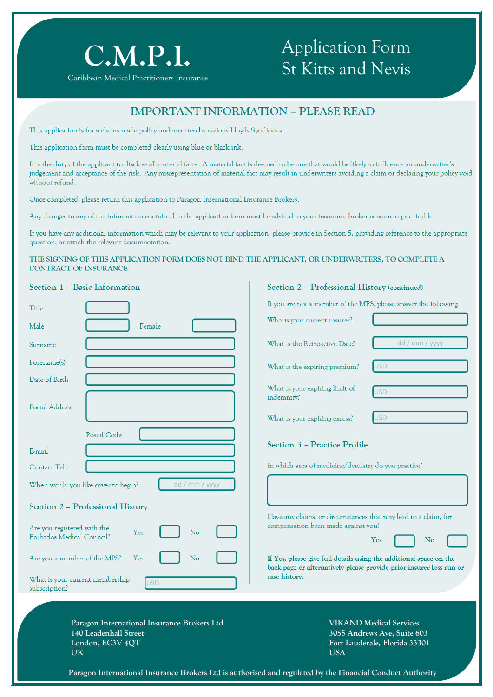

## Application Form St Kitts and Nevis

### **IMPORTANT INFORMATION – PLEASE READ**

This application is for a claims made policy underwritten by various Lloyds Syndicates.

This application form must be completed clearly using blue or black ink.

It is the duty of the applicant to disclose all material facts. A material fact is deemed to be one that would be likely to influence an underwriter's judgement and acceptance of the risk. Any misrepresentation of material fact may result in underwriters avoiding a claim or declaring your policy void without refund.

Once completed, please return this application to Paragon International Insurance Brokers.

Any changes to any of the information contained in the application form must be advised to your insurance broker as soon as practicable.

If you have any additional information which may be relevant to your application, please provide in Section 5, providing reference to the appropriate question, or attach the relevant documentation.

#### **THE SIGNING OF THIS APPLICATION FORM DOES NOT BIND THE APPLICANT, OR UNDERWRITERS, TO COMPLETE A CONTRACT OF INSURANCE.**

| Section 1 - Basic Information                                                                         | Section 2 - Professional History (continued)                                                                                              |  |
|-------------------------------------------------------------------------------------------------------|-------------------------------------------------------------------------------------------------------------------------------------------|--|
| Title                                                                                                 | If you are not a member of the MPS, please answer the following.                                                                          |  |
| Male<br>Female                                                                                        | Who is your current insurer?                                                                                                              |  |
| Surname                                                                                               | dd / mm / yyyy<br>What is the Retroactive Date?                                                                                           |  |
| Forename(s)                                                                                           | <b>USD</b><br>What is the expiring premium?                                                                                               |  |
| Date of Birth                                                                                         | What is your expiring limit of<br><b>USD</b><br>indemnity?                                                                                |  |
| Postal Address                                                                                        | <b>USD</b><br>What is your expiring excess?                                                                                               |  |
| Postal Code<br>E-mail                                                                                 | Section 3 - Practice Profile                                                                                                              |  |
| Contact Tel.:                                                                                         | In which area of medicine/dentistry do you practice?                                                                                      |  |
| dd / mm / yyyy<br>When would you like cover to begin?                                                 |                                                                                                                                           |  |
| Section 2 - Professional History                                                                      |                                                                                                                                           |  |
| Are you registered with the<br>Yes<br>No<br>Barbados Medical Council?                                 | Have any claims, or circumstances that may lead to a claim, for<br>compensation been made against you?<br>Yes<br>N <sub>o</sub>           |  |
| Are you a member of the MPS?<br>Yes<br>No                                                             | If Yes, please give full details using the additional space on the<br>back page or alternatively please provide prior insurer loss run or |  |
| What is your current membership<br><b>USD</b><br>subscription?                                        | case history.                                                                                                                             |  |
| Paragon International Insurance Brokers Ltd<br>140 Leadenhall Street<br>London, EC3V 4QT<br><b>UK</b> | <b>VIKAND Medical Services</b><br>305S Andrews Ave, Suite 603<br>Fort Lauderale, Florida 33301<br><b>USA</b>                              |  |
|                                                                                                       | Paragon International Insurance Brokers Ltd is authorised and regulated by the Financial Conduct Authority                                |  |